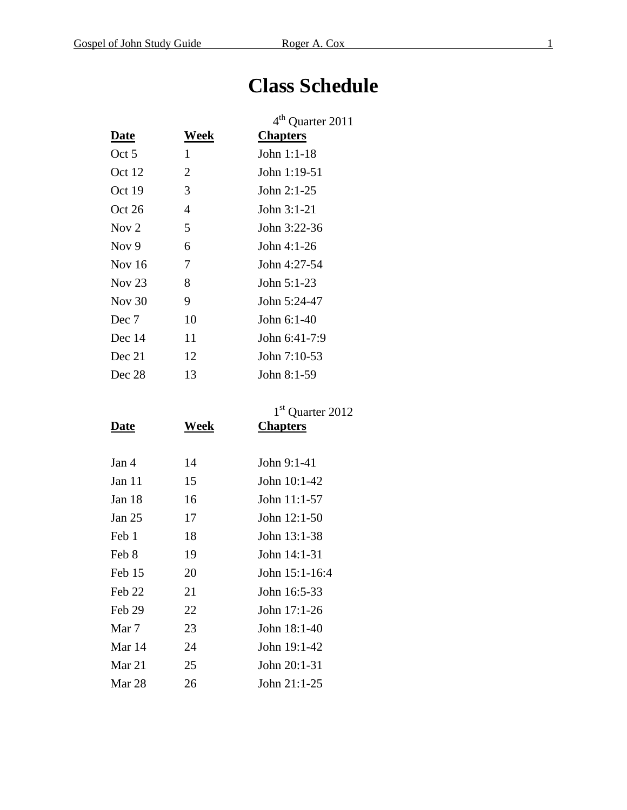## **Class Schedule**

|             |      | 4 <sup>th</sup> Quarter 2011 |  |  |  |  |
|-------------|------|------------------------------|--|--|--|--|
| <u>Date</u> | Week | <b>Chapters</b>              |  |  |  |  |
| Oct 5       | 1    | John 1:1-18                  |  |  |  |  |
| Oct 12      | 2    | John 1:19-51                 |  |  |  |  |
| Oct 19      | 3    | John $2:1-25$                |  |  |  |  |
| Oct 26      | 4    | John $3:1-21$                |  |  |  |  |
| Nov $2$     | 5    | John $3:22-36$               |  |  |  |  |
| Nov $9$     | 6    | John 4:1-26                  |  |  |  |  |
| Nov 16      | 7    | John 4:27-54                 |  |  |  |  |
| Nov $23$    | 8    | John 5:1-23                  |  |  |  |  |
| Nov $30$    | 9    | John 5:24-47                 |  |  |  |  |
| Dec 7       | 10   | John 6:1-40                  |  |  |  |  |
| Dec 14      | 11   | John $6:41-7:9$              |  |  |  |  |
| Dec 21      | 12   | John 7:10-53                 |  |  |  |  |
| Dec 28      | 13   | John 8:1-59                  |  |  |  |  |

| <b>Date</b> | Week | 1 <sup>st</sup> Quarter 2012<br><b>Chapters</b> |  |  |  |  |
|-------------|------|-------------------------------------------------|--|--|--|--|
|             |      |                                                 |  |  |  |  |
| Jan 4       | 14   | John 9:1-41                                     |  |  |  |  |
| Jan 11      | 15   | John 10:1-42                                    |  |  |  |  |
| Jan 18      | 16   | John 11:1-57                                    |  |  |  |  |
| Jan 25      | 17   | John $12:1-50$                                  |  |  |  |  |
| Feb 1       | 18   | John 13:1-38                                    |  |  |  |  |
| Feb 8       | 19   | John 14:1-31                                    |  |  |  |  |
| Feb 15      | 20   | John 15:1-16:4                                  |  |  |  |  |
| Feb 22      | 21   | John 16:5-33                                    |  |  |  |  |
| Feb 29      | 22   | John 17:1-26                                    |  |  |  |  |
| Mar 7       | 23   | John 18:1-40                                    |  |  |  |  |
| Mar 14      | 24   | John 19:1-42                                    |  |  |  |  |
| Mar 21      | 25   | John 20:1-31                                    |  |  |  |  |
| Mar 28      | 26   | John 21:1-25                                    |  |  |  |  |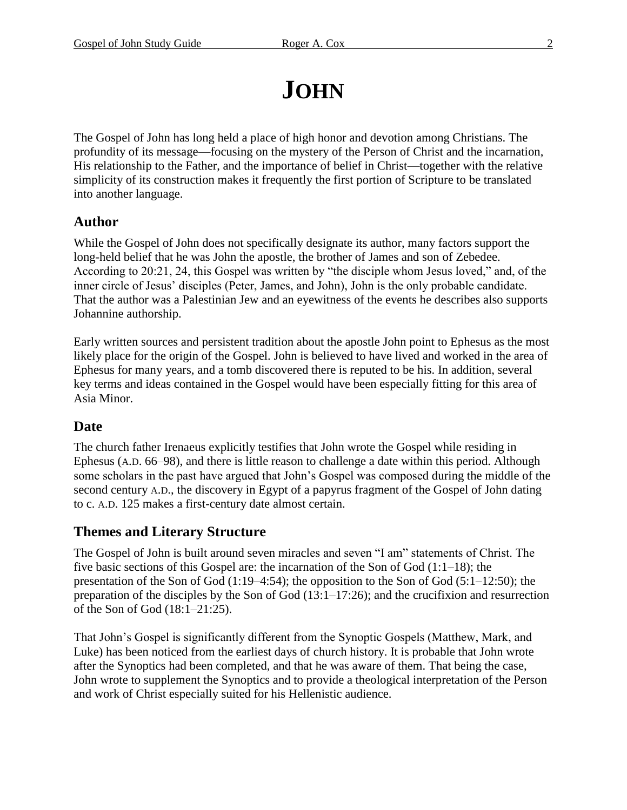# **JOHN**

The Gospel of John has long held a place of high honor and devotion among Christians. The profundity of its message—focusing on the mystery of the Person of Christ and the incarnation, His relationship to the Father, and the importance of belief in Christ—together with the relative simplicity of its construction makes it frequently the first portion of Scripture to be translated into another language.

### **Author**

While the Gospel of John does not specifically designate its author, many factors support the long-held belief that he was John the apostle, the brother of James and son of Zebedee. According to 20:21, 24, this Gospel was written by "the disciple whom Jesus loved," and, of the inner circle of Jesus' disciples (Peter, James, and John), John is the only probable candidate. That the author was a Palestinian Jew and an eyewitness of the events he describes also supports Johannine authorship.

Early written sources and persistent tradition about the apostle John point to Ephesus as the most likely place for the origin of the Gospel. John is believed to have lived and worked in the area of Ephesus for many years, and a tomb discovered there is reputed to be his. In addition, several key terms and ideas contained in the Gospel would have been especially fitting for this area of Asia Minor.

### **Date**

The church father Irenaeus explicitly testifies that John wrote the Gospel while residing in Ephesus (A.D. 66–98), and there is little reason to challenge a date within this period. Although some scholars in the past have argued that John's Gospel was composed during the middle of the second century A.D., the discovery in Egypt of a papyrus fragment of the Gospel of John dating to c. A.D. 125 makes a first-century date almost certain.

### **Themes and Literary Structure**

The Gospel of John is built around seven miracles and seven "I am" statements of Christ. The five basic sections of this Gospel are: the incarnation of the Son of God (1:1–18); the presentation of the Son of God (1:19–4:54); the opposition to the Son of God (5:1–12:50); the preparation of the disciples by the Son of God (13:1–17:26); and the crucifixion and resurrection of the Son of God (18:1–21:25).

That John's Gospel is significantly different from the Synoptic Gospels (Matthew, Mark, and Luke) has been noticed from the earliest days of church history. It is probable that John wrote after the Synoptics had been completed, and that he was aware of them. That being the case, John wrote to supplement the Synoptics and to provide a theological interpretation of the Person and work of Christ especially suited for his Hellenistic audience.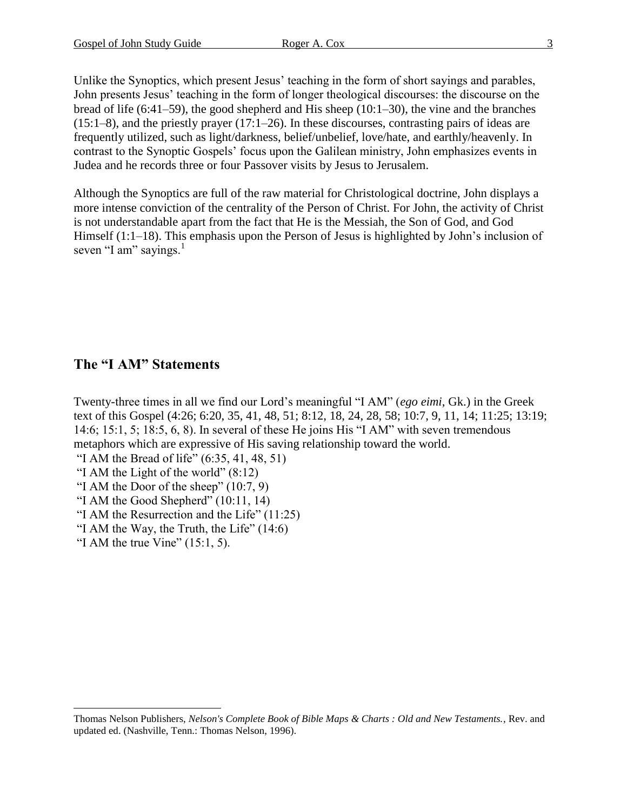Unlike the Synoptics, which present Jesus' teaching in the form of short sayings and parables, John presents Jesus' teaching in the form of longer theological discourses: the discourse on the bread of life (6:41–59), the good shepherd and His sheep (10:1–30), the vine and the branches (15:1–8), and the priestly prayer (17:1–26). In these discourses, contrasting pairs of ideas are frequently utilized, such as light/darkness, belief/unbelief, love/hate, and earthly/heavenly. In contrast to the Synoptic Gospels' focus upon the Galilean ministry, John emphasizes events in Judea and he records three or four Passover visits by Jesus to Jerusalem.

Although the Synoptics are full of the raw material for Christological doctrine, John displays a more intense conviction of the centrality of the Person of Christ. For John, the activity of Christ is not understandable apart from the fact that He is the Messiah, the Son of God, and God Himself (1:1–18). This emphasis upon the Person of Jesus is highlighted by John's inclusion of seven "I am" sayings. $<sup>1</sup>$ </sup>

### **The "I AM" Statements**

Twenty-three times in all we find our Lord's meaningful "I AM" (*ego eimi*, Gk.) in the Greek text of this Gospel (4:26; 6:20, 35, 41, 48, 51; 8:12, 18, 24, 28, 58; 10:7, 9, 11, 14; 11:25; 13:19; 14:6; 15:1, 5; 18:5, 6, 8). In several of these He joins His "I AM" with seven tremendous metaphors which are expressive of His saving relationship toward the world.

- "I AM the Bread of life" (6:35, 41, 48, 51)
- "I AM the Light of the world"  $(8:12)$
- "I AM the Door of the sheep" (10:7, 9)
- "I AM the Good Shepherd" (10:11, 14)
- "I AM the Resurrection and the Life" (11:25)
- "I AM the Way, the Truth, the Life" (14:6)
- "I AM the true Vine"  $(15:1, 5)$ .

 $\overline{a}$ 

Thomas Nelson Publishers, *Nelson's Complete Book of Bible Maps & Charts : Old and New Testaments.*, Rev. and updated ed. (Nashville, Tenn.: Thomas Nelson, 1996).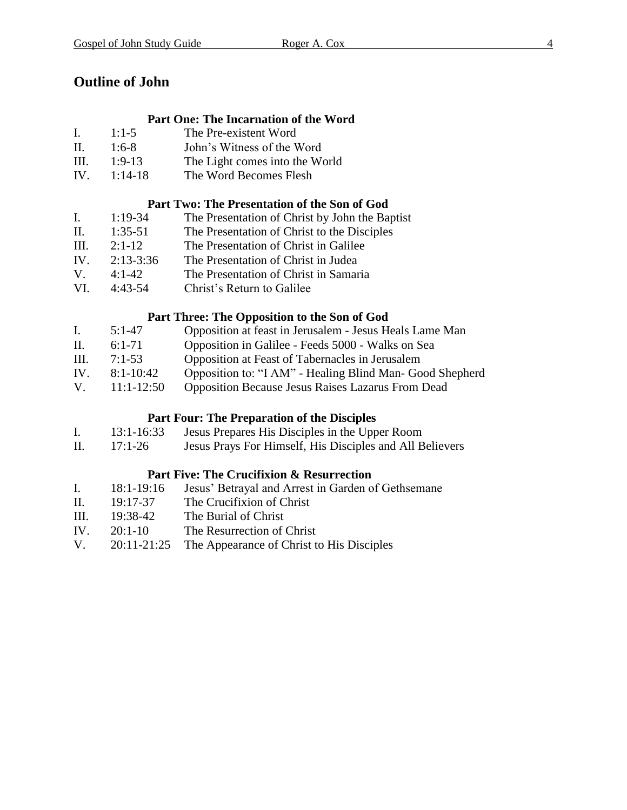### **Outline of John**

### **Part One: The Incarnation of the Word**

- I. 1:1-5 The Pre-existent Word
- II. 1:6-8 John's Witness of the Word
- III. 1:9-13 The Light comes into the World
- IV. 1:14-18 The Word Becomes Flesh

### **Part Two: The Presentation of the Son of God**

- I. 1:19-34 The Presentation of Christ by John the Baptist
- II. 1:35-51 The Presentation of Christ to the Disciples
- III. 2:1-12 The Presentation of Christ in Galilee
- IV. 2:13-3:36 The Presentation of Christ in Judea
- V. 4:1-42 The Presentation of Christ in Samaria
- VI. 4:43-54 Christ's Return to Galilee

### **Part Three: The Opposition to the Son of God**

| $5:1-47$ |  |  |  |              | Opposition at feast in Jerusalem - Jesus Heals Lame Man |
|----------|--|--|--|--------------|---------------------------------------------------------|
|          |  |  |  | ------------ |                                                         |

- II. 6:1-71 Opposition in Galilee Feeds 5000 Walks on Sea
- III. 7:1-53 Opposition at Feast of Tabernacles in Jerusalem
- IV. 8:1-10:42 Opposition to: "I AM" Healing Blind Man- Good Shepherd
- V. 11:1-12:50 Opposition Because Jesus Raises Lazarus From Dead

### **Part Four: The Preparation of the Disciples**

- I. 13:1-16:33 Jesus Prepares His Disciples in the Upper Room
- II. 17:1-26 Jesus Prays For Himself, His Disciples and All Believers

### **Part Five: The Crucifixion & Resurrection**

- I. 18:1-19:16 Jesus' Betrayal and Arrest in Garden of Gethsemane
- II. 19:17-37 The Crucifixion of Christ
- III. 19:38-42 The Burial of Christ
- IV. 20:1-10 The Resurrection of Christ
- V. 20:11-21:25 The Appearance of Christ to His Disciples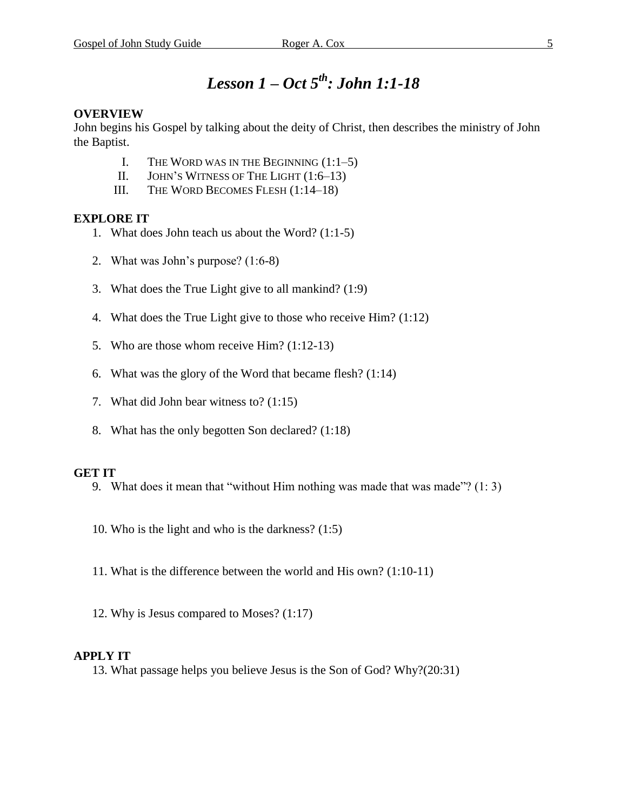### *Lesson 1 – Oct 5 th : John 1:1-18*

### **OVERVIEW**

John begins his Gospel by talking about the deity of Christ, then describes the ministry of John the Baptist.

- I. THE WORD WAS IN THE BEGINNING  $(1:1-5)$
- II. JOHN'S WITNESS OF THE LIGHT (1:6–13)
- III. THE WORD BECOMES FLESH (1:14–18)

### **EXPLORE IT**

- 1. What does John teach us about the Word? (1:1-5)
- 2. What was John's purpose? (1:6-8)
- 3. What does the True Light give to all mankind? (1:9)
- 4. What does the True Light give to those who receive Him? (1:12)
- 5. Who are those whom receive Him? (1:12-13)
- 6. What was the glory of the Word that became flesh? (1:14)
- 7. What did John bear witness to? (1:15)
- 8. What has the only begotten Son declared? (1:18)

### **GET IT**

- 9. What does it mean that "without Him nothing was made that was made"? (1: 3)
- 10. Who is the light and who is the darkness? (1:5)
- 11. What is the difference between the world and His own? (1:10-11)
- 12. Why is Jesus compared to Moses? (1:17)

### **APPLY IT**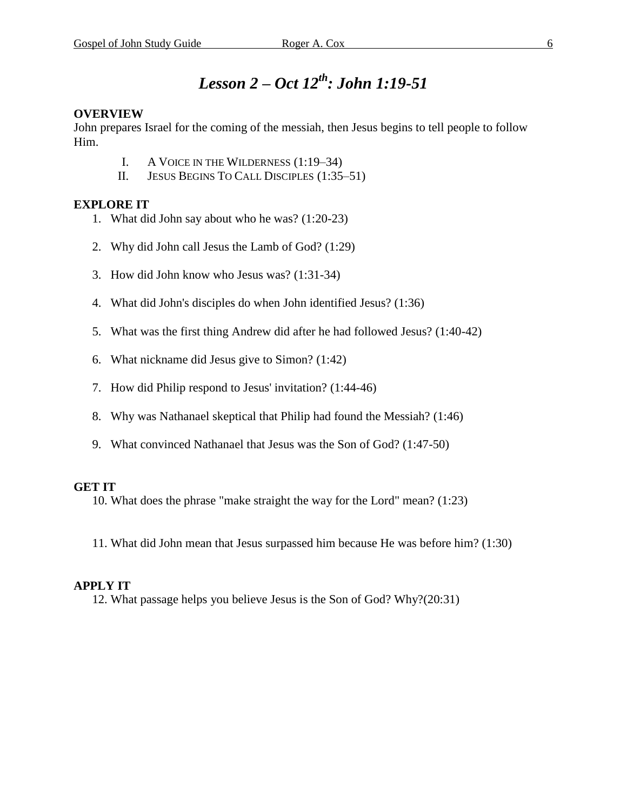### *Lesson 2 – Oct 12 th : John 1:19-51*

### **OVERVIEW**

John prepares Israel for the coming of the messiah, then Jesus begins to tell people to follow Him.

- I. A VOICE IN THE WILDERNESS (1:19–34)
- II. JESUS BEGINS TO CALL DISCIPLES (1:35–51)

### **EXPLORE IT**

- 1. What did John say about who he was? (1:20-23)
- 2. Why did John call Jesus the Lamb of God? (1:29)
- 3. How did John know who Jesus was? (1:31-34)
- 4. What did John's disciples do when John identified Jesus? (1:36)
- 5. What was the first thing Andrew did after he had followed Jesus? (1:40-42)
- 6. What nickname did Jesus give to Simon? (1:42)
- 7. How did Philip respond to Jesus' invitation? (1:44-46)
- 8. Why was Nathanael skeptical that Philip had found the Messiah? (1:46)
- 9. What convinced Nathanael that Jesus was the Son of God? (1:47-50)

### **GET IT**

10. What does the phrase "make straight the way for the Lord" mean? (1:23)

11. What did John mean that Jesus surpassed him because He was before him? (1:30)

### **APPLY IT**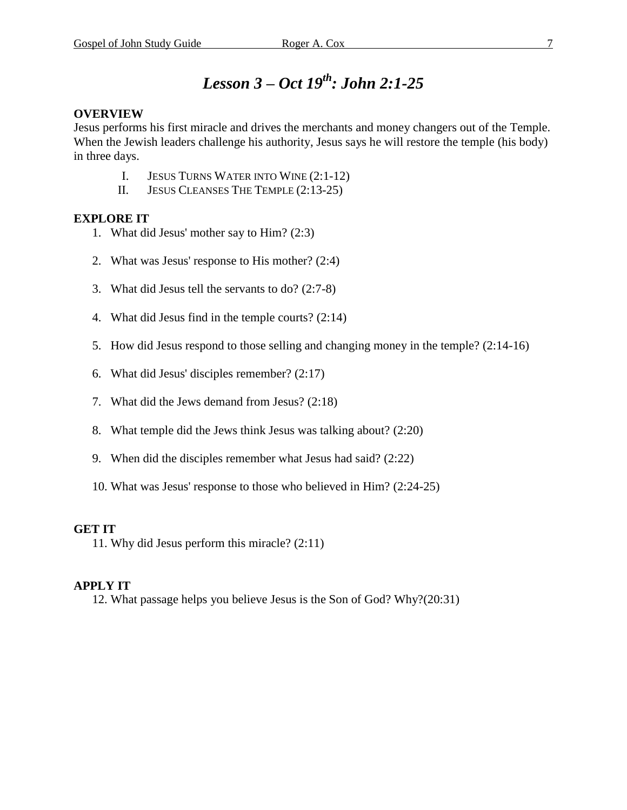### *Lesson 3 – Oct 19th : John 2:1-25*

### **OVERVIEW**

Jesus performs his first miracle and drives the merchants and money changers out of the Temple. When the Jewish leaders challenge his authority, Jesus says he will restore the temple (his body) in three days.

- I. JESUS TURNS WATER INTO WINE (2:1-12)
- II. JESUS CLEANSES THE TEMPLE (2:13-25)

### **EXPLORE IT**

- 1. What did Jesus' mother say to Him? (2:3)
- 2. What was Jesus' response to His mother? (2:4)
- 3. What did Jesus tell the servants to do? (2:7-8)
- 4. What did Jesus find in the temple courts? (2:14)
- 5. How did Jesus respond to those selling and changing money in the temple? (2:14-16)
- 6. What did Jesus' disciples remember? (2:17)
- 7. What did the Jews demand from Jesus? (2:18)
- 8. What temple did the Jews think Jesus was talking about? (2:20)
- 9. When did the disciples remember what Jesus had said? (2:22)
- 10. What was Jesus' response to those who believed in Him? (2:24-25)

### **GET IT**

11. Why did Jesus perform this miracle? (2:11)

### **APPLY IT**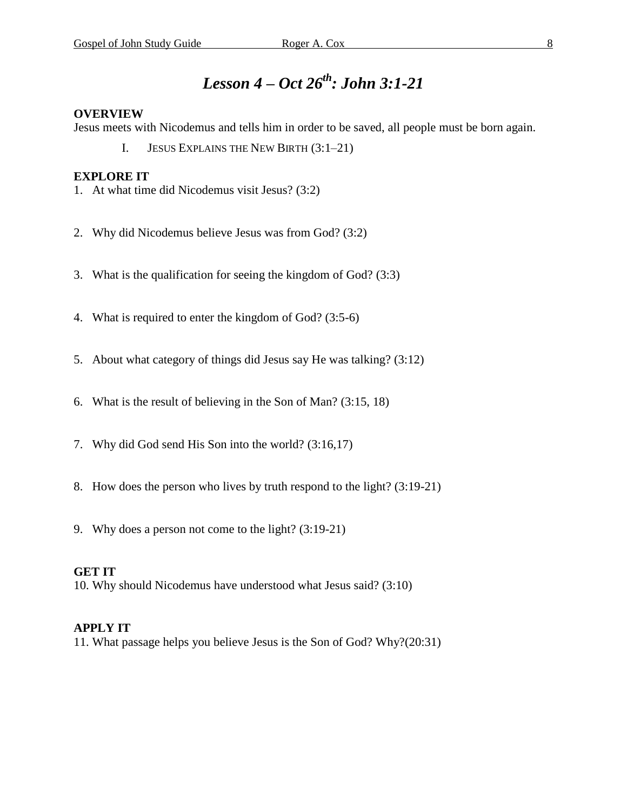### *Lesson 4 – Oct 26 th : John 3:1-21*

#### **OVERVIEW**

Jesus meets with Nicodemus and tells him in order to be saved, all people must be born again.

I. JESUS EXPLAINS THE NEW BIRTH (3:1–21)

### **EXPLORE IT**

- 1. At what time did Nicodemus visit Jesus? (3:2)
- 2. Why did Nicodemus believe Jesus was from God? (3:2)
- 3. What is the qualification for seeing the kingdom of God? (3:3)
- 4. What is required to enter the kingdom of God? (3:5-6)
- 5. About what category of things did Jesus say He was talking? (3:12)
- 6. What is the result of believing in the Son of Man? (3:15, 18)
- 7. Why did God send His Son into the world? (3:16,17)
- 8. How does the person who lives by truth respond to the light? (3:19-21)
- 9. Why does a person not come to the light? (3:19-21)

### **GET IT**

10. Why should Nicodemus have understood what Jesus said? (3:10)

#### **APPLY IT**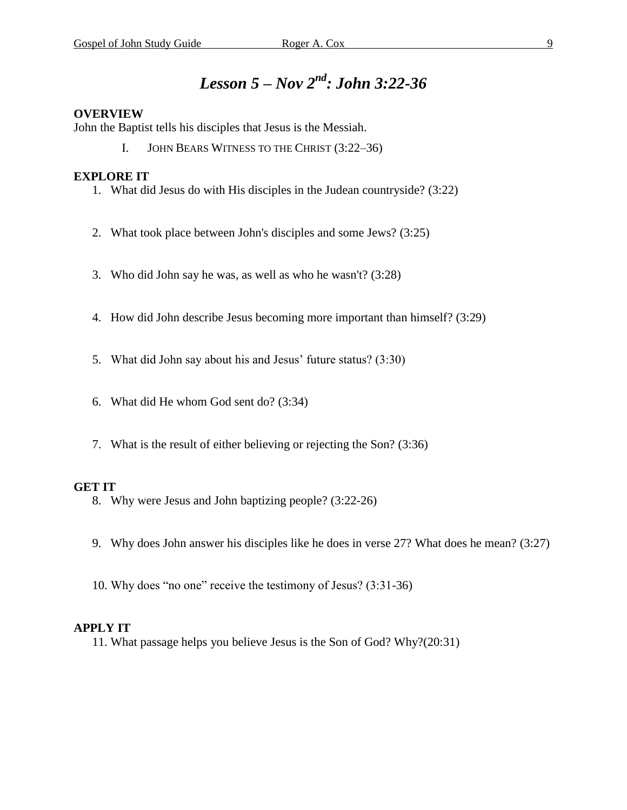### *Lesson 5 – Nov 2 nd : John 3:22-36*

#### **OVERVIEW**

John the Baptist tells his disciples that Jesus is the Messiah.

I. JOHN BEARS WITNESS TO THE CHRIST (3:22–36)

#### **EXPLORE IT**

- 1. What did Jesus do with His disciples in the Judean countryside? (3:22)
- 2. What took place between John's disciples and some Jews? (3:25)
- 3. Who did John say he was, as well as who he wasn't? (3:28)
- 4. How did John describe Jesus becoming more important than himself? (3:29)
- 5. What did John say about his and Jesus' future status? (3:30)
- 6. What did He whom God sent do? (3:34)
- 7. What is the result of either believing or rejecting the Son? (3:36)

#### **GET IT**

- 8. Why were Jesus and John baptizing people? (3:22-26)
- 9. Why does John answer his disciples like he does in verse 27? What does he mean? (3:27)
- 10. Why does "no one" receive the testimony of Jesus? (3:31-36)

#### **APPLY IT**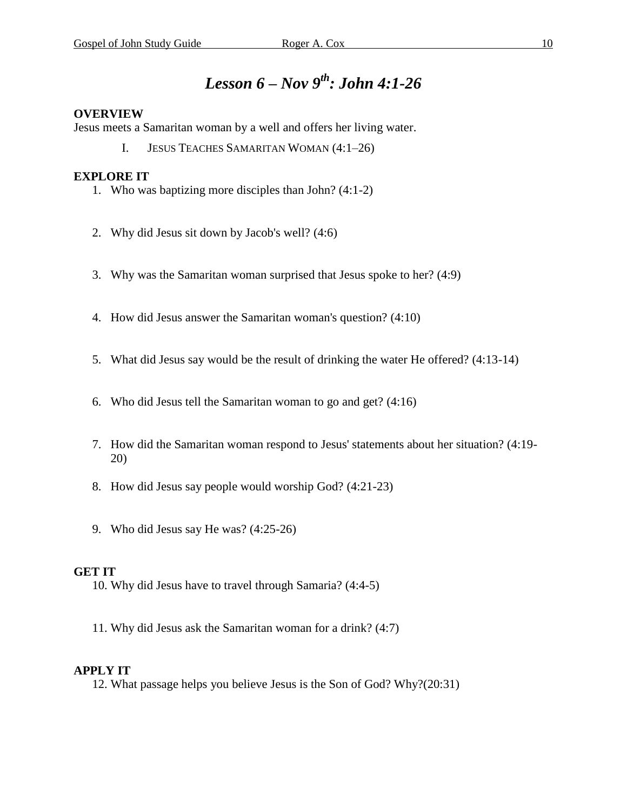### *Lesson 6 – Nov 9 th : John 4:1-26*

#### **OVERVIEW**

Jesus meets a Samaritan woman by a well and offers her living water.

I. JESUS TEACHES SAMARITAN WOMAN (4:1–26)

### **EXPLORE IT**

- 1. Who was baptizing more disciples than John? (4:1-2)
- 2. Why did Jesus sit down by Jacob's well? (4:6)
- 3. Why was the Samaritan woman surprised that Jesus spoke to her? (4:9)
- 4. How did Jesus answer the Samaritan woman's question? (4:10)
- 5. What did Jesus say would be the result of drinking the water He offered? (4:13-14)
- 6. Who did Jesus tell the Samaritan woman to go and get? (4:16)
- 7. How did the Samaritan woman respond to Jesus' statements about her situation? (4:19- 20)
- 8. How did Jesus say people would worship God? (4:21-23)
- 9. Who did Jesus say He was? (4:25-26)

### **GET IT**

- 10. Why did Jesus have to travel through Samaria? (4:4-5)
- 11. Why did Jesus ask the Samaritan woman for a drink? (4:7)

### **APPLY IT**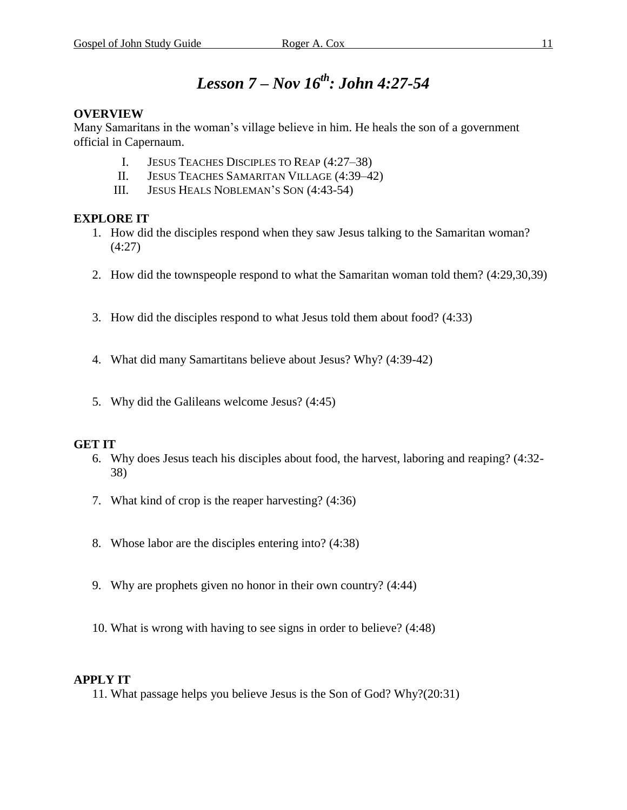### *Lesson 7 – Nov 16 th : John 4:27-54*

### **OVERVIEW**

Many Samaritans in the woman's village believe in him. He heals the son of a government official in Capernaum.

- I. JESUS TEACHES DISCIPLES TO REAP (4:27–38)
- II. JESUS TEACHES SAMARITAN VILLAGE (4:39–42)
- III. JESUS HEALS NOBLEMAN'S SON (4:43-54)

### **EXPLORE IT**

- 1. How did the disciples respond when they saw Jesus talking to the Samaritan woman? (4:27)
- 2. How did the townspeople respond to what the Samaritan woman told them? (4:29,30,39)
- 3. How did the disciples respond to what Jesus told them about food? (4:33)
- 4. What did many Samartitans believe about Jesus? Why? (4:39-42)
- 5. Why did the Galileans welcome Jesus? (4:45)

### **GET IT**

- 6. Why does Jesus teach his disciples about food, the harvest, laboring and reaping? (4:32- 38)
- 7. What kind of crop is the reaper harvesting? (4:36)
- 8. Whose labor are the disciples entering into? (4:38)
- 9. Why are prophets given no honor in their own country? (4:44)
- 10. What is wrong with having to see signs in order to believe? (4:48)

### **APPLY IT**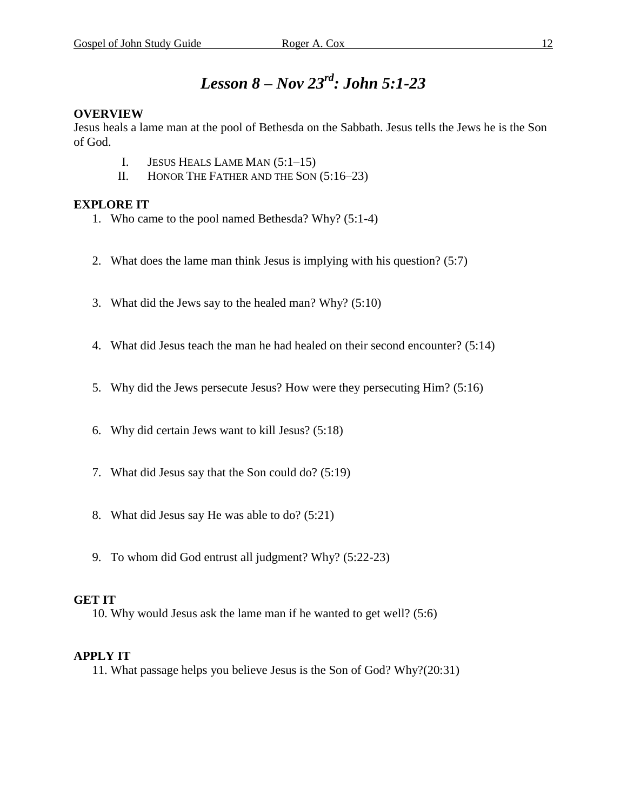### *Lesson 8 – Nov 23 rd : John 5:1-23*

### **OVERVIEW**

Jesus heals a lame man at the pool of Bethesda on the Sabbath. Jesus tells the Jews he is the Son of God.

- I. JESUS HEALS LAME MAN (5:1–15)
- II. HONOR THE FATHER AND THE SON (5:16–23)

### **EXPLORE IT**

- 1. Who came to the pool named Bethesda? Why? (5:1-4)
- 2. What does the lame man think Jesus is implying with his question? (5:7)
- 3. What did the Jews say to the healed man? Why? (5:10)
- 4. What did Jesus teach the man he had healed on their second encounter? (5:14)
- 5. Why did the Jews persecute Jesus? How were they persecuting Him? (5:16)
- 6. Why did certain Jews want to kill Jesus? (5:18)
- 7. What did Jesus say that the Son could do? (5:19)
- 8. What did Jesus say He was able to do? (5:21)
- 9. To whom did God entrust all judgment? Why? (5:22-23)

### **GET IT**

10. Why would Jesus ask the lame man if he wanted to get well? (5:6)

### **APPLY IT**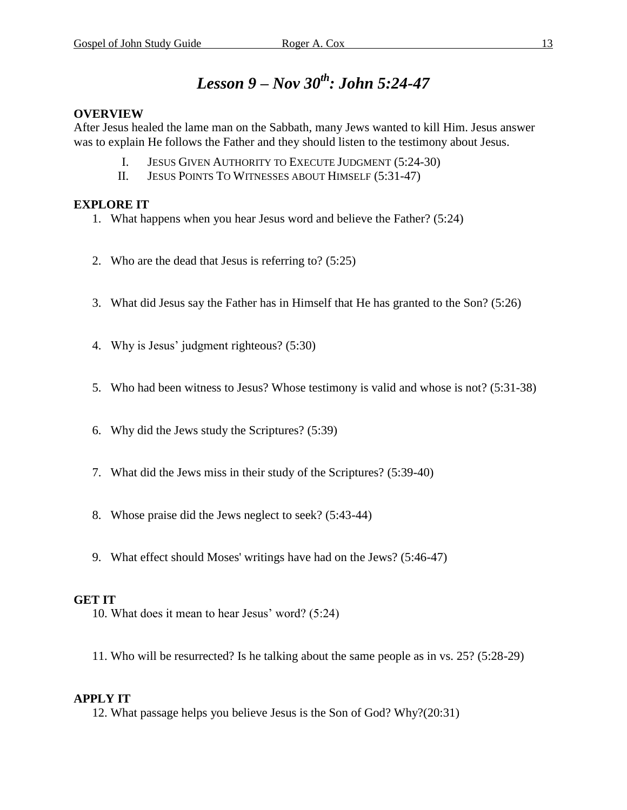### *Lesson 9 – Nov 30th : John 5:24-47*

### **OVERVIEW**

After Jesus healed the lame man on the Sabbath, many Jews wanted to kill Him. Jesus answer was to explain He follows the Father and they should listen to the testimony about Jesus.

- I. JESUS GIVEN AUTHORITY TO EXECUTE JUDGMENT (5:24-30)
- II. JESUS POINTS TO WITNESSES ABOUT HIMSELF (5:31-47)

### **EXPLORE IT**

- 1. What happens when you hear Jesus word and believe the Father? (5:24)
- 2. Who are the dead that Jesus is referring to? (5:25)
- 3. What did Jesus say the Father has in Himself that He has granted to the Son? (5:26)
- 4. Why is Jesus' judgment righteous? (5:30)
- 5. Who had been witness to Jesus? Whose testimony is valid and whose is not? (5:31-38)
- 6. Why did the Jews study the Scriptures? (5:39)
- 7. What did the Jews miss in their study of the Scriptures? (5:39-40)
- 8. Whose praise did the Jews neglect to seek? (5:43-44)
- 9. What effect should Moses' writings have had on the Jews? (5:46-47)

### **GET IT**

- 10. What does it mean to hear Jesus' word? (5:24)
- 11. Who will be resurrected? Is he talking about the same people as in vs. 25? (5:28-29)

### **APPLY IT**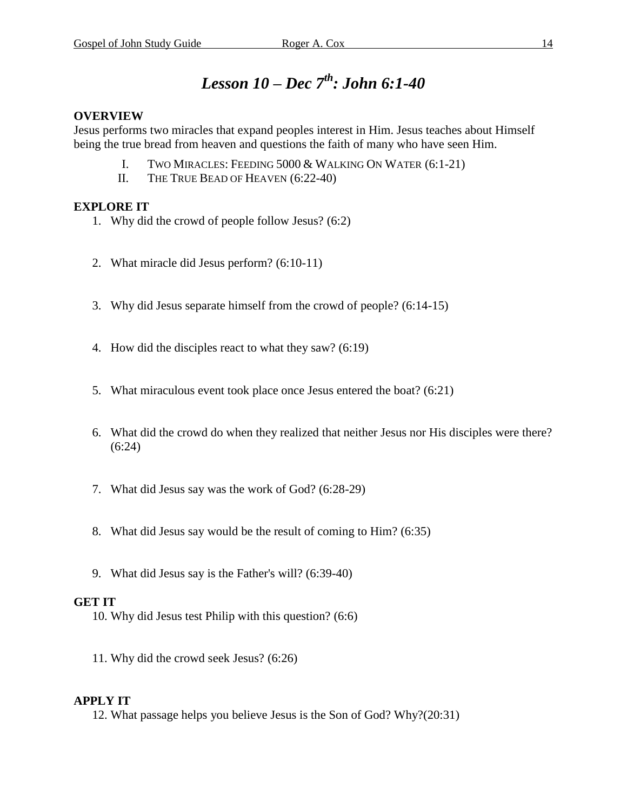### *Lesson 10 – Dec 7 th : John 6:1-40*

### **OVERVIEW**

Jesus performs two miracles that expand peoples interest in Him. Jesus teaches about Himself being the true bread from heaven and questions the faith of many who have seen Him.

- I. TWO MIRACLES: FEEDING 5000 & WALKING ON WATER (6:1-21)
- II. THE TRUE BEAD OF HEAVEN (6:22-40)

### **EXPLORE IT**

- 1. Why did the crowd of people follow Jesus? (6:2)
- 2. What miracle did Jesus perform? (6:10-11)
- 3. Why did Jesus separate himself from the crowd of people? (6:14-15)
- 4. How did the disciples react to what they saw? (6:19)
- 5. What miraculous event took place once Jesus entered the boat? (6:21)
- 6. What did the crowd do when they realized that neither Jesus nor His disciples were there? (6:24)
- 7. What did Jesus say was the work of God? (6:28-29)
- 8. What did Jesus say would be the result of coming to Him? (6:35)
- 9. What did Jesus say is the Father's will? (6:39-40)

### **GET IT**

- 10. Why did Jesus test Philip with this question? (6:6)
- 11. Why did the crowd seek Jesus? (6:26)

### **APPLY IT**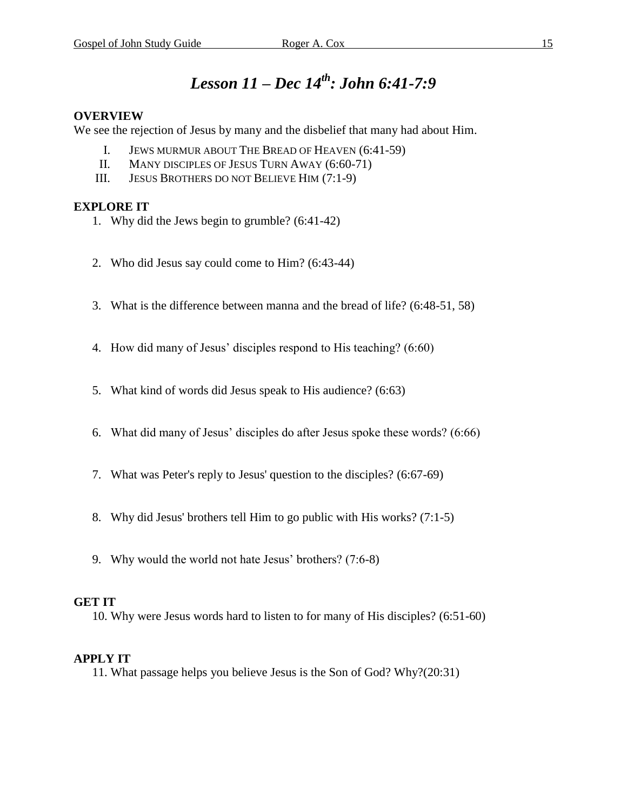### *Lesson 11 – Dec 14 th : John 6:41-7:9*

### **OVERVIEW**

We see the rejection of Jesus by many and the disbelief that many had about Him.

- I. JEWS MURMUR ABOUT THE BREAD OF HEAVEN (6:41-59)
- II. MANY DISCIPLES OF JESUS TURN AWAY (6:60-71)
- III. JESUS BROTHERS DO NOT BELIEVE HIM (7:1-9)

### **EXPLORE IT**

- 1. Why did the Jews begin to grumble? (6:41-42)
- 2. Who did Jesus say could come to Him? (6:43-44)
- 3. What is the difference between manna and the bread of life? (6:48-51, 58)
- 4. How did many of Jesus' disciples respond to His teaching? (6:60)
- 5. What kind of words did Jesus speak to His audience? (6:63)
- 6. What did many of Jesus' disciples do after Jesus spoke these words? (6:66)
- 7. What was Peter's reply to Jesus' question to the disciples? (6:67-69)
- 8. Why did Jesus' brothers tell Him to go public with His works? (7:1-5)
- 9. Why would the world not hate Jesus' brothers? (7:6-8)

### **GET IT**

10. Why were Jesus words hard to listen to for many of His disciples? (6:51-60)

### **APPLY IT**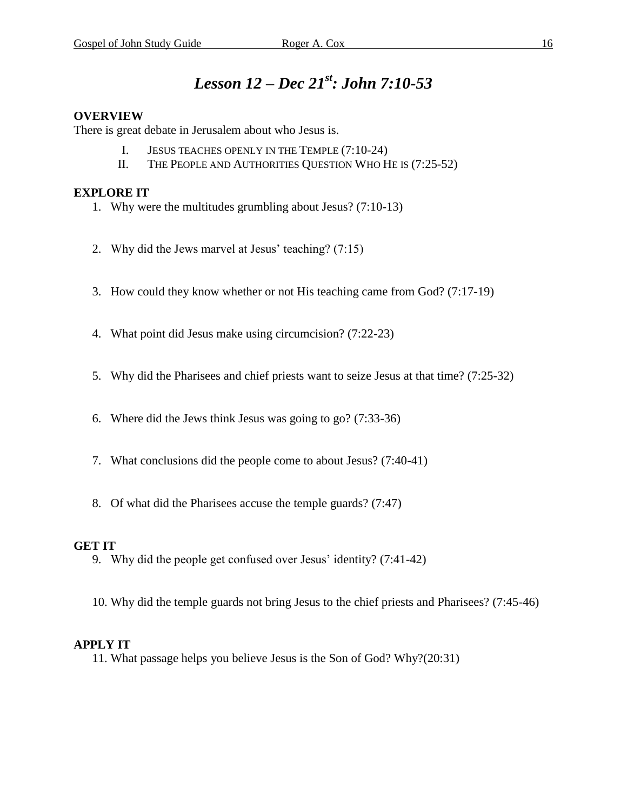### *Lesson 12 – Dec 21 st : John 7:10-53*

### **OVERVIEW**

There is great debate in Jerusalem about who Jesus is.

- I. JESUS TEACHES OPENLY IN THE TEMPLE (7:10-24)
- II. THE PEOPLE AND AUTHORITIES QUESTION WHO HE IS (7:25-52)

### **EXPLORE IT**

- 1. Why were the multitudes grumbling about Jesus? (7:10-13)
- 2. Why did the Jews marvel at Jesus' teaching? (7:15)
- 3. How could they know whether or not His teaching came from God? (7:17-19)
- 4. What point did Jesus make using circumcision? (7:22-23)
- 5. Why did the Pharisees and chief priests want to seize Jesus at that time? (7:25-32)
- 6. Where did the Jews think Jesus was going to go? (7:33-36)
- 7. What conclusions did the people come to about Jesus? (7:40-41)
- 8. Of what did the Pharisees accuse the temple guards? (7:47)

### **GET IT**

- 9. Why did the people get confused over Jesus' identity? (7:41-42)
- 10. Why did the temple guards not bring Jesus to the chief priests and Pharisees? (7:45-46)

### **APPLY IT**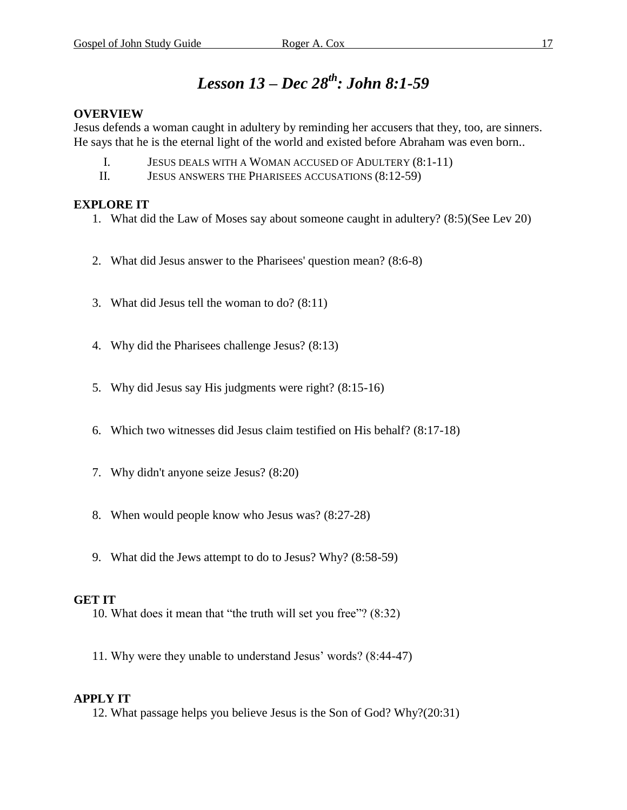### *Lesson 13 – Dec 28 th : John 8:1-59*

### **OVERVIEW**

Jesus defends a woman caught in adultery by reminding her accusers that they, too, are sinners. He says that he is the eternal light of the world and existed before Abraham was even born..

- I. JESUS DEALS WITH A WOMAN ACCUSED OF ADULTERY (8:1-11)
- II. JESUS ANSWERS THE PHARISEES ACCUSATIONS (8:12-59)

### **EXPLORE IT**

- 1. What did the Law of Moses say about someone caught in adultery? (8:5)(See Lev 20)
- 2. What did Jesus answer to the Pharisees' question mean? (8:6-8)
- 3. What did Jesus tell the woman to do? (8:11)
- 4. Why did the Pharisees challenge Jesus? (8:13)
- 5. Why did Jesus say His judgments were right? (8:15-16)
- 6. Which two witnesses did Jesus claim testified on His behalf? (8:17-18)
- 7. Why didn't anyone seize Jesus? (8:20)
- 8. When would people know who Jesus was? (8:27-28)
- 9. What did the Jews attempt to do to Jesus? Why? (8:58-59)

#### **GET IT**

- 10. What does it mean that "the truth will set you free"? (8:32)
- 11. Why were they unable to understand Jesus' words? (8:44-47)

### **APPLY IT**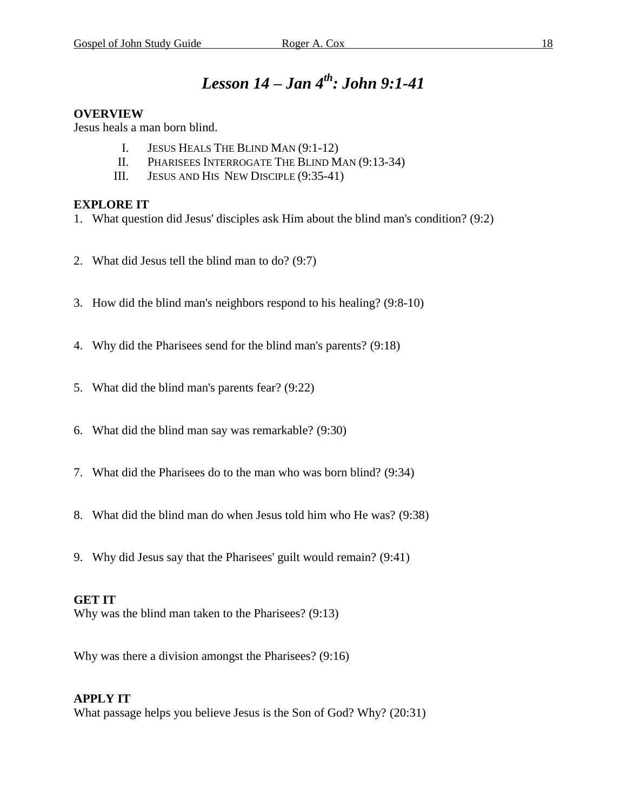### *Lesson 14 – Jan 4 th : John 9:1-41*

### **OVERVIEW**

Jesus heals a man born blind.

- I. JESUS HEALS THE BLIND MAN (9:1-12)
- II. PHARISEES INTERROGATE THE BLIND MAN (9:13-34)
- III. JESUS AND HIS NEW DISCIPLE (9:35-41)

### **EXPLORE IT**

- 1. What question did Jesus' disciples ask Him about the blind man's condition? (9:2)
- 2. What did Jesus tell the blind man to do? (9:7)
- 3. How did the blind man's neighbors respond to his healing? (9:8-10)
- 4. Why did the Pharisees send for the blind man's parents? (9:18)
- 5. What did the blind man's parents fear? (9:22)
- 6. What did the blind man say was remarkable? (9:30)
- 7. What did the Pharisees do to the man who was born blind? (9:34)
- 8. What did the blind man do when Jesus told him who He was? (9:38)
- 9. Why did Jesus say that the Pharisees' guilt would remain? (9:41)

### **GET IT**

Why was the blind man taken to the Pharisees? (9:13)

Why was there a division amongst the Pharisees? (9:16)

### **APPLY IT**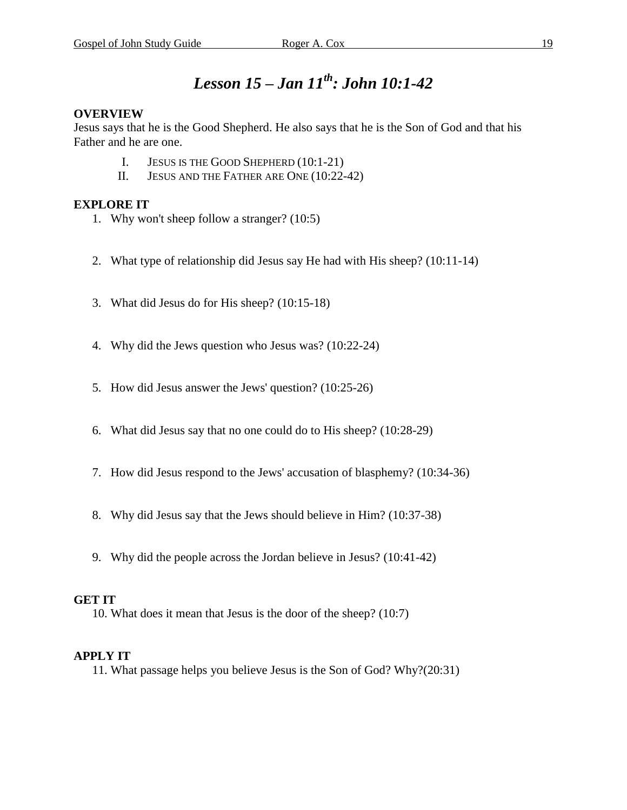### *Lesson 15 – Jan 11 th : John 10:1-42*

### **OVERVIEW**

Jesus says that he is the Good Shepherd. He also says that he is the Son of God and that his Father and he are one.

- I. JESUS IS THE GOOD SHEPHERD (10:1-21)
- II. JESUS AND THE FATHER ARE ONE (10:22-42)

### **EXPLORE IT**

- 1. Why won't sheep follow a stranger? (10:5)
- 2. What type of relationship did Jesus say He had with His sheep? (10:11-14)
- 3. What did Jesus do for His sheep? (10:15-18)
- 4. Why did the Jews question who Jesus was? (10:22-24)
- 5. How did Jesus answer the Jews' question? (10:25-26)
- 6. What did Jesus say that no one could do to His sheep? (10:28-29)
- 7. How did Jesus respond to the Jews' accusation of blasphemy? (10:34-36)
- 8. Why did Jesus say that the Jews should believe in Him? (10:37-38)
- 9. Why did the people across the Jordan believe in Jesus? (10:41-42)

### **GET IT**

10. What does it mean that Jesus is the door of the sheep? (10:7)

### **APPLY IT**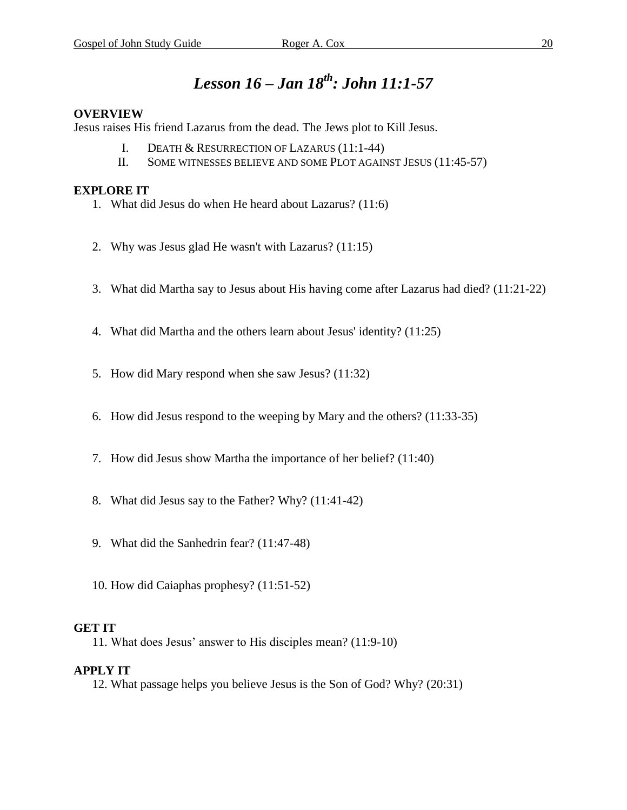### *Lesson 16 – Jan 18 th : John 11:1-57*

### **OVERVIEW**

Jesus raises His friend Lazarus from the dead. The Jews plot to Kill Jesus.

- I. DEATH & RESURRECTION OF LAZARUS (11:1-44)
- II. SOME WITNESSES BELIEVE AND SOME PLOT AGAINST JESUS (11:45-57)

### **EXPLORE IT**

- 1. What did Jesus do when He heard about Lazarus? (11:6)
- 2. Why was Jesus glad He wasn't with Lazarus? (11:15)
- 3. What did Martha say to Jesus about His having come after Lazarus had died? (11:21-22)
- 4. What did Martha and the others learn about Jesus' identity? (11:25)
- 5. How did Mary respond when she saw Jesus? (11:32)
- 6. How did Jesus respond to the weeping by Mary and the others? (11:33-35)
- 7. How did Jesus show Martha the importance of her belief? (11:40)
- 8. What did Jesus say to the Father? Why? (11:41-42)
- 9. What did the Sanhedrin fear? (11:47-48)
- 10. How did Caiaphas prophesy? (11:51-52)

### **GET IT**

11. What does Jesus' answer to His disciples mean? (11:9-10)

### **APPLY IT**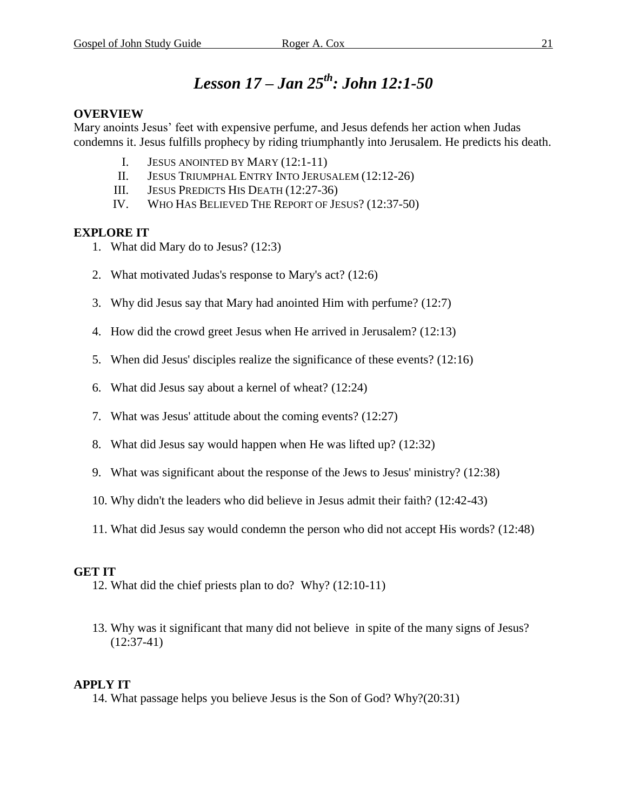### *Lesson 17 – Jan 25 th : John 12:1-50*

### **OVERVIEW**

Mary anoints Jesus' feet with expensive perfume, and Jesus defends her action when Judas condemns it. Jesus fulfills prophecy by riding triumphantly into Jerusalem. He predicts his death.

- I. JESUS ANOINTED BY MARY (12:1-11)
- II. JESUS TRIUMPHAL ENTRY INTO JERUSALEM (12:12-26)
- III. JESUS PREDICTS HIS DEATH (12:27-36)
- IV. WHO HAS BELIEVED THE REPORT OF JESUS? (12:37-50)

### **EXPLORE IT**

- 1. What did Mary do to Jesus? (12:3)
- 2. What motivated Judas's response to Mary's act? (12:6)
- 3. Why did Jesus say that Mary had anointed Him with perfume? (12:7)
- 4. How did the crowd greet Jesus when He arrived in Jerusalem? (12:13)
- 5. When did Jesus' disciples realize the significance of these events? (12:16)
- 6. What did Jesus say about a kernel of wheat? (12:24)
- 7. What was Jesus' attitude about the coming events? (12:27)
- 8. What did Jesus say would happen when He was lifted up? (12:32)
- 9. What was significant about the response of the Jews to Jesus' ministry? (12:38)
- 10. Why didn't the leaders who did believe in Jesus admit their faith? (12:42-43)
- 11. What did Jesus say would condemn the person who did not accept His words? (12:48)

### **GET IT**

- 12. What did the chief priests plan to do? Why? (12:10-11)
- 13. Why was it significant that many did not believe in spite of the many signs of Jesus? (12:37-41)

### **APPLY IT**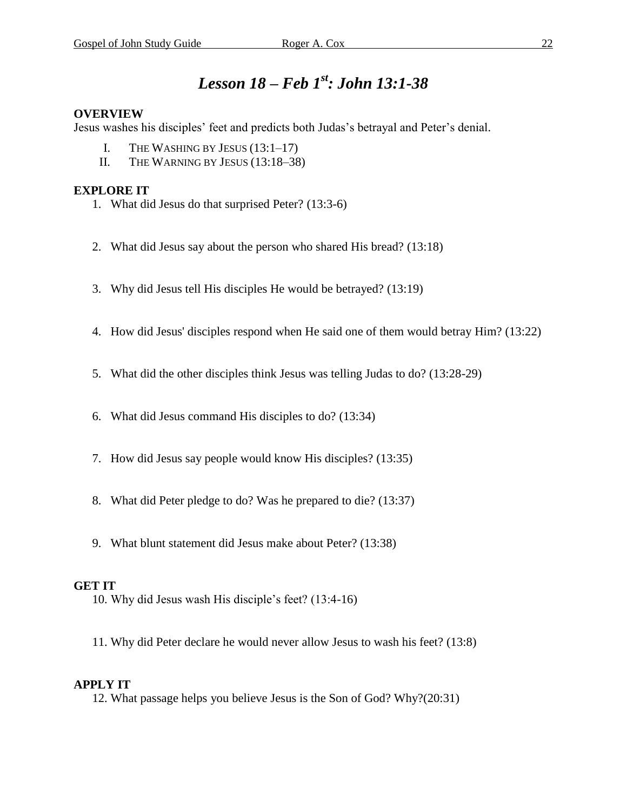### *Lesson 18 – Feb 1 st : John 13:1-38*

### **OVERVIEW**

Jesus washes his disciples' feet and predicts both Judas's betrayal and Peter's denial.

- I. THE WASHING BY JESUS (13:1–17)
- II. THE WARNING BY JESUS (13:18–38)

### **EXPLORE IT**

- 1. What did Jesus do that surprised Peter? (13:3-6)
- 2. What did Jesus say about the person who shared His bread? (13:18)
- 3. Why did Jesus tell His disciples He would be betrayed? (13:19)
- 4. How did Jesus' disciples respond when He said one of them would betray Him? (13:22)
- 5. What did the other disciples think Jesus was telling Judas to do? (13:28-29)
- 6. What did Jesus command His disciples to do? (13:34)
- 7. How did Jesus say people would know His disciples? (13:35)
- 8. What did Peter pledge to do? Was he prepared to die? (13:37)
- 9. What blunt statement did Jesus make about Peter? (13:38)

### **GET IT**

- 10. Why did Jesus wash His disciple's feet? (13:4-16)
- 11. Why did Peter declare he would never allow Jesus to wash his feet? (13:8)

#### **APPLY IT**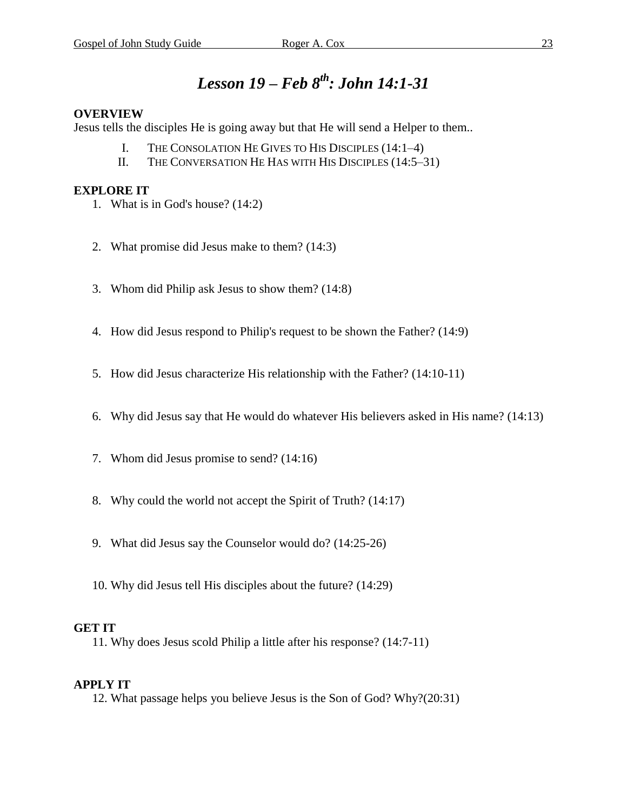### *Lesson 19 – Feb 8 th : John 14:1-31*

### **OVERVIEW**

Jesus tells the disciples He is going away but that He will send a Helper to them..

- I. THE CONSOLATION HE GIVES TO HIS DISCIPLES (14:1–4)
- II. THE CONVERSATION HE HAS WITH HIS DISCIPLES (14:5–31)

### **EXPLORE IT**

- 1. What is in God's house? (14:2)
- 2. What promise did Jesus make to them? (14:3)
- 3. Whom did Philip ask Jesus to show them? (14:8)
- 4. How did Jesus respond to Philip's request to be shown the Father? (14:9)
- 5. How did Jesus characterize His relationship with the Father? (14:10-11)
- 6. Why did Jesus say that He would do whatever His believers asked in His name? (14:13)
- 7. Whom did Jesus promise to send? (14:16)
- 8. Why could the world not accept the Spirit of Truth? (14:17)
- 9. What did Jesus say the Counselor would do? (14:25-26)
- 10. Why did Jesus tell His disciples about the future? (14:29)

### **GET IT**

11. Why does Jesus scold Philip a little after his response? (14:7-11)

### **APPLY IT**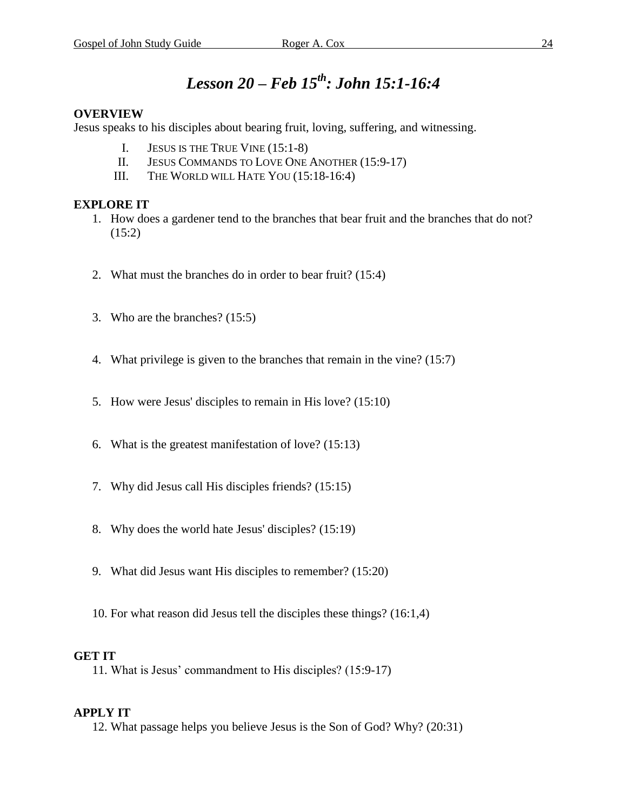### *Lesson 20 – Feb 15th : John 15:1-16:4*

### **OVERVIEW**

Jesus speaks to his disciples about bearing fruit, loving, suffering, and witnessing.

- I. JESUS IS THE TRUE VINE (15:1-8)
- II. JESUS COMMANDS TO LOVE ONE ANOTHER (15:9-17)
- III. THE WORLD WILL HATE YOU (15:18-16:4)

#### **EXPLORE IT**

- 1. How does a gardener tend to the branches that bear fruit and the branches that do not?  $(15:2)$
- 2. What must the branches do in order to bear fruit? (15:4)
- 3. Who are the branches? (15:5)
- 4. What privilege is given to the branches that remain in the vine? (15:7)
- 5. How were Jesus' disciples to remain in His love? (15:10)
- 6. What is the greatest manifestation of love? (15:13)
- 7. Why did Jesus call His disciples friends? (15:15)
- 8. Why does the world hate Jesus' disciples? (15:19)
- 9. What did Jesus want His disciples to remember? (15:20)
- 10. For what reason did Jesus tell the disciples these things? (16:1,4)

#### **GET IT**

11. What is Jesus' commandment to His disciples? (15:9-17)

#### **APPLY IT**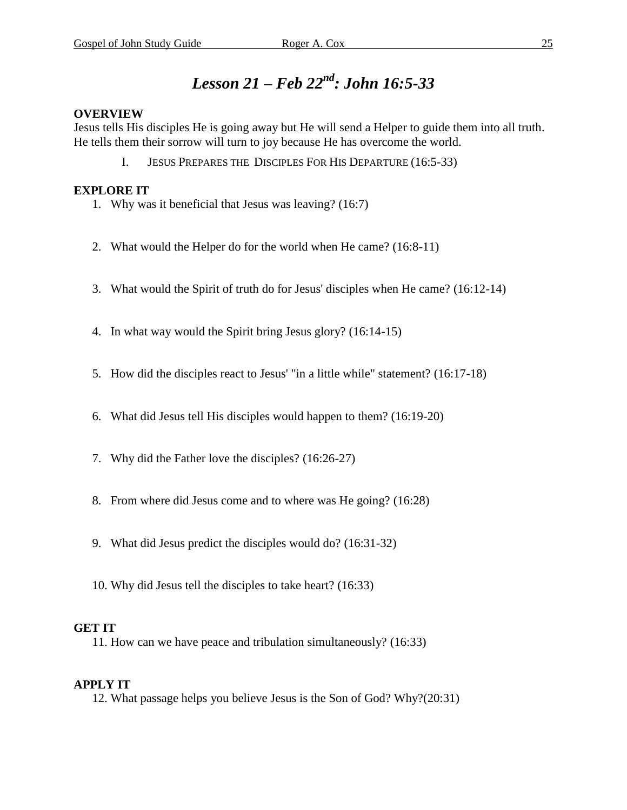### *Lesson 21 – Feb 22nd : John 16:5-33*

### **OVERVIEW**

Jesus tells His disciples He is going away but He will send a Helper to guide them into all truth. He tells them their sorrow will turn to joy because He has overcome the world.

I. JESUS PREPARES THE DISCIPLES FOR HIS DEPARTURE (16:5-33)

### **EXPLORE IT**

- 1. Why was it beneficial that Jesus was leaving? (16:7)
- 2. What would the Helper do for the world when He came? (16:8-11)
- 3. What would the Spirit of truth do for Jesus' disciples when He came? (16:12-14)
- 4. In what way would the Spirit bring Jesus glory? (16:14-15)
- 5. How did the disciples react to Jesus' "in a little while" statement? (16:17-18)
- 6. What did Jesus tell His disciples would happen to them? (16:19-20)
- 7. Why did the Father love the disciples? (16:26-27)
- 8. From where did Jesus come and to where was He going? (16:28)
- 9. What did Jesus predict the disciples would do? (16:31-32)
- 10. Why did Jesus tell the disciples to take heart? (16:33)

#### **GET IT**

11. How can we have peace and tribulation simultaneously? (16:33)

### **APPLY IT**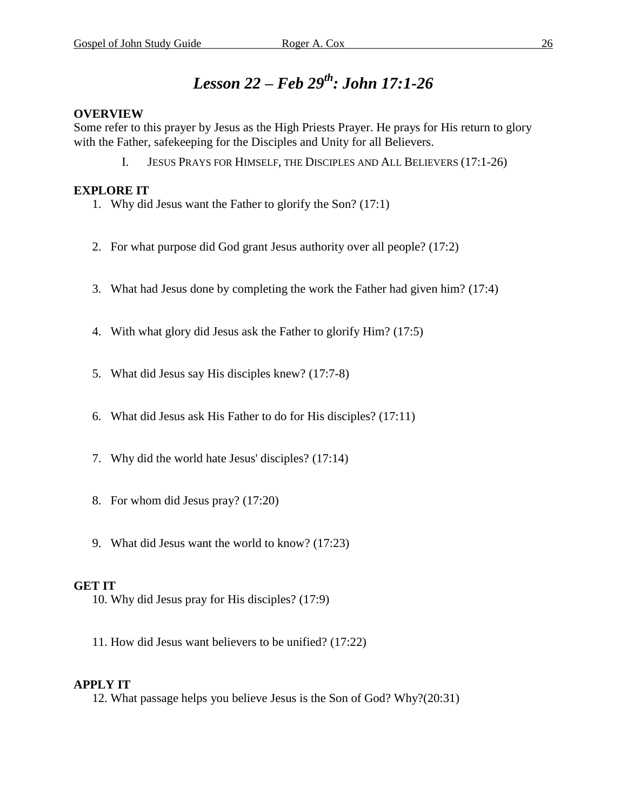### *Lesson 22 – Feb 29th : John 17:1-26*

#### **OVERVIEW**

Some refer to this prayer by Jesus as the High Priests Prayer. He prays for His return to glory with the Father, safekeeping for the Disciples and Unity for all Believers.

I. JESUS PRAYS FOR HIMSELF, THE DISCIPLES AND ALL BELIEVERS (17:1-26)

### **EXPLORE IT**

- 1. Why did Jesus want the Father to glorify the Son? (17:1)
- 2. For what purpose did God grant Jesus authority over all people? (17:2)
- 3. What had Jesus done by completing the work the Father had given him? (17:4)
- 4. With what glory did Jesus ask the Father to glorify Him? (17:5)
- 5. What did Jesus say His disciples knew? (17:7-8)
- 6. What did Jesus ask His Father to do for His disciples? (17:11)
- 7. Why did the world hate Jesus' disciples? (17:14)
- 8. For whom did Jesus pray? (17:20)
- 9. What did Jesus want the world to know? (17:23)

### **GET IT**

- 10. Why did Jesus pray for His disciples? (17:9)
- 11. How did Jesus want believers to be unified? (17:22)

### **APPLY IT**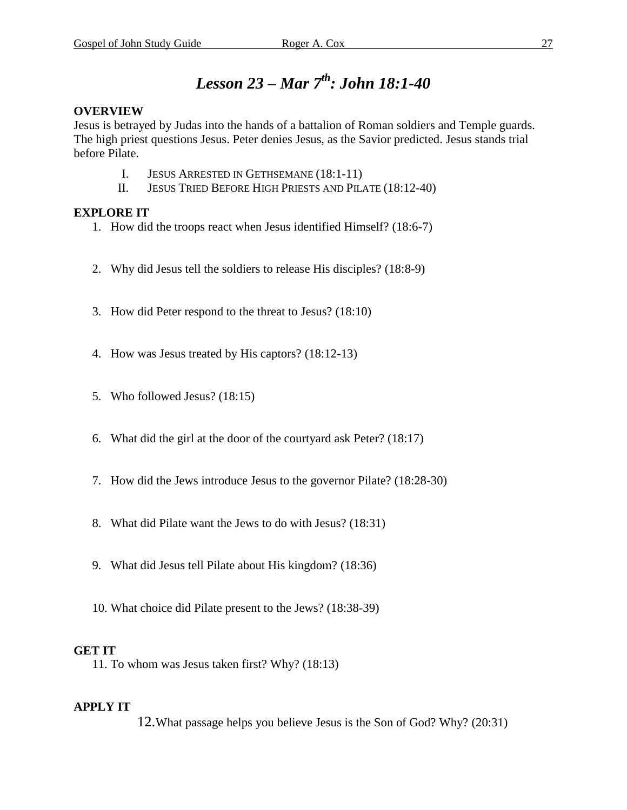### *Lesson 23 – Mar 7 th : John 18:1-40*

### **OVERVIEW**

Jesus is betrayed by Judas into the hands of a battalion of Roman soldiers and Temple guards. The high priest questions Jesus. Peter denies Jesus, as the Savior predicted. Jesus stands trial before Pilate.

- I. JESUS ARRESTED IN GETHSEMANE (18:1-11)
- II. JESUS TRIED BEFORE HIGH PRIESTS AND PILATE (18:12-40)

### **EXPLORE IT**

- 1. How did the troops react when Jesus identified Himself? (18:6-7)
- 2. Why did Jesus tell the soldiers to release His disciples? (18:8-9)
- 3. How did Peter respond to the threat to Jesus? (18:10)
- 4. How was Jesus treated by His captors? (18:12-13)
- 5. Who followed Jesus? (18:15)
- 6. What did the girl at the door of the courtyard ask Peter? (18:17)
- 7. How did the Jews introduce Jesus to the governor Pilate? (18:28-30)
- 8. What did Pilate want the Jews to do with Jesus? (18:31)
- 9. What did Jesus tell Pilate about His kingdom? (18:36)
- 10. What choice did Pilate present to the Jews? (18:38-39)

### **GET IT**

11. To whom was Jesus taken first? Why? (18:13)

### **APPLY IT**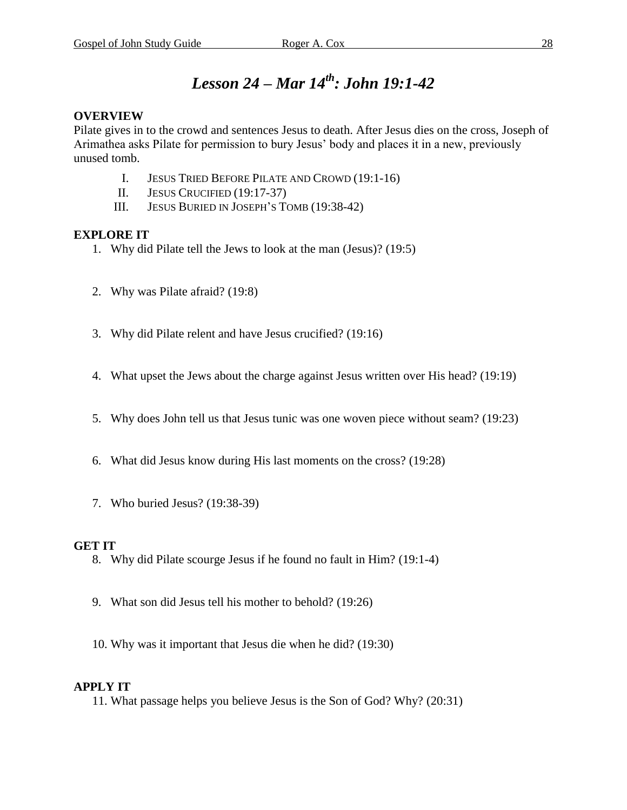### *Lesson 24 – Mar 14 th : John 19:1-42*

### **OVERVIEW**

Pilate gives in to the crowd and sentences Jesus to death. After Jesus dies on the cross, Joseph of Arimathea asks Pilate for permission to bury Jesus' body and places it in a new, previously unused tomb.

- I. JESUS TRIED BEFORE PILATE AND CROWD (19:1-16)
- II. JESUS CRUCIFIED (19:17-37)
- III. JESUS BURIED IN JOSEPH'S TOMB (19:38-42)

### **EXPLORE IT**

- 1. Why did Pilate tell the Jews to look at the man (Jesus)? (19:5)
- 2. Why was Pilate afraid? (19:8)
- 3. Why did Pilate relent and have Jesus crucified? (19:16)
- 4. What upset the Jews about the charge against Jesus written over His head? (19:19)
- 5. Why does John tell us that Jesus tunic was one woven piece without seam? (19:23)
- 6. What did Jesus know during His last moments on the cross? (19:28)
- 7. Who buried Jesus? (19:38-39)

### **GET IT**

- 8. Why did Pilate scourge Jesus if he found no fault in Him? (19:1-4)
- 9. What son did Jesus tell his mother to behold? (19:26)
- 10. Why was it important that Jesus die when he did? (19:30)

### **APPLY IT**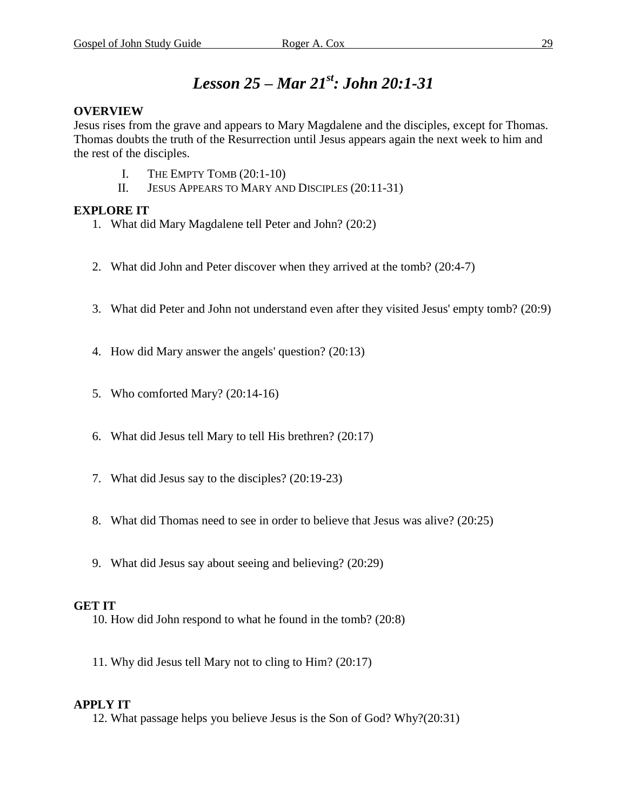### *Lesson 25 – Mar 21 st : John 20:1-31*

### **OVERVIEW**

Jesus rises from the grave and appears to Mary Magdalene and the disciples, except for Thomas. Thomas doubts the truth of the Resurrection until Jesus appears again the next week to him and the rest of the disciples.

- I. THE EMPTY TOMB (20:1-10)
- II. JESUS APPEARS TO MARY AND DISCIPLES (20:11-31)

### **EXPLORE IT**

- 1. What did Mary Magdalene tell Peter and John? (20:2)
- 2. What did John and Peter discover when they arrived at the tomb? (20:4-7)
- 3. What did Peter and John not understand even after they visited Jesus' empty tomb? (20:9)
- 4. How did Mary answer the angels' question? (20:13)
- 5. Who comforted Mary? (20:14-16)
- 6. What did Jesus tell Mary to tell His brethren? (20:17)
- 7. What did Jesus say to the disciples? (20:19-23)
- 8. What did Thomas need to see in order to believe that Jesus was alive? (20:25)
- 9. What did Jesus say about seeing and believing? (20:29)

### **GET IT**

- 10. How did John respond to what he found in the tomb? (20:8)
- 11. Why did Jesus tell Mary not to cling to Him? (20:17)

### **APPLY IT**